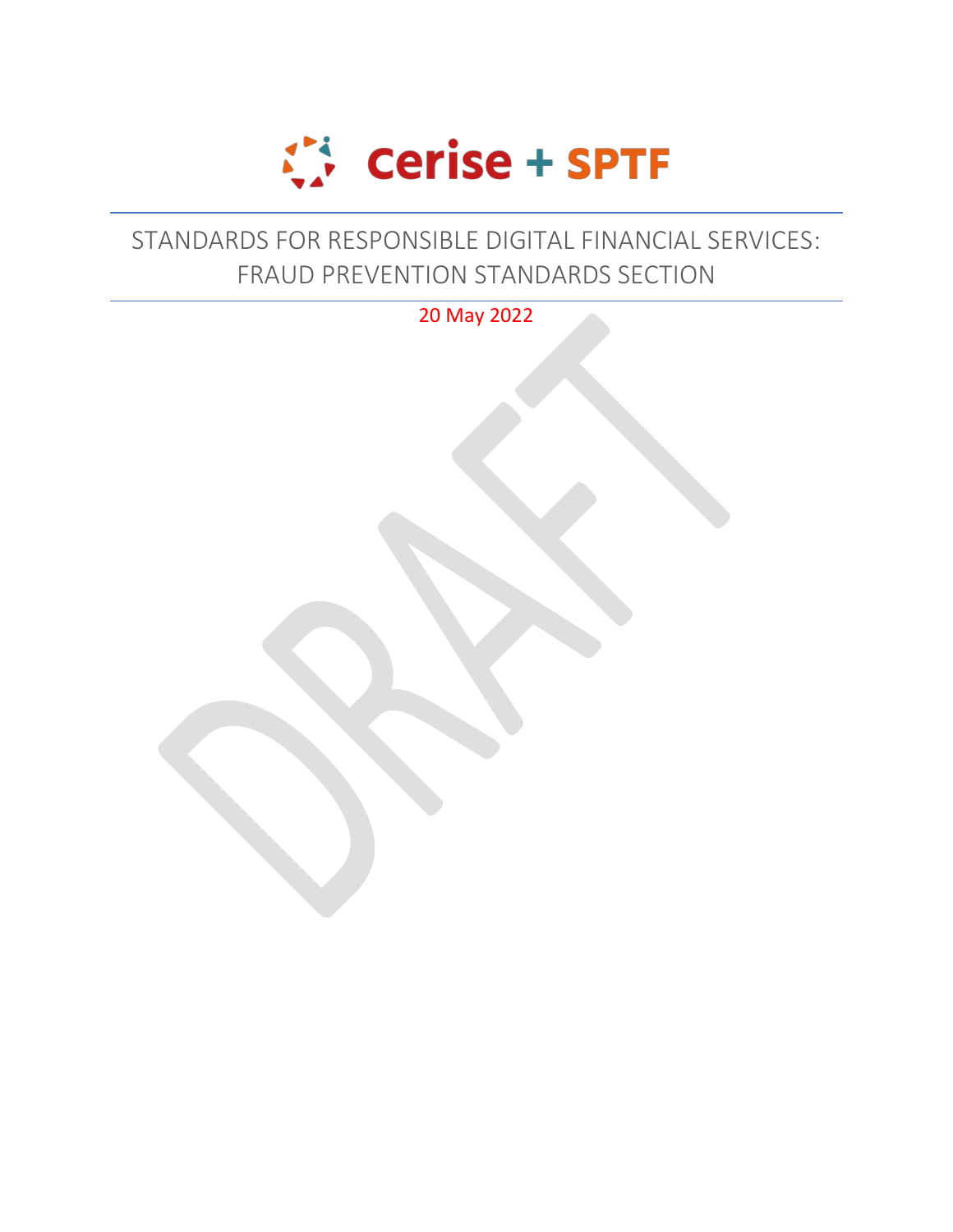

## STANDARDS FOR RESPONSIBLE DIGITAL FINANCIAL SERVICES: FRAUD PREVENTION STANDARDS SECTION

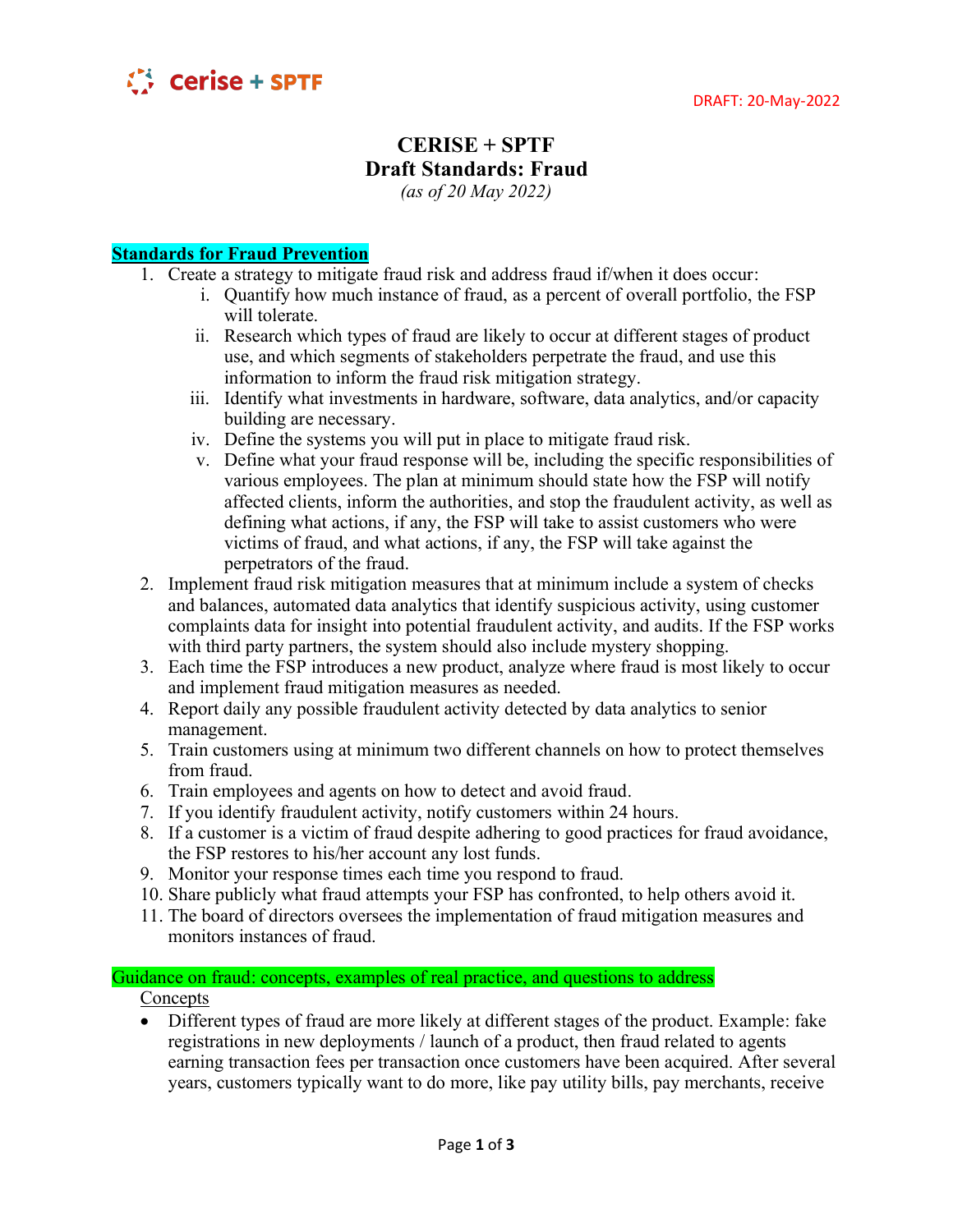

## **CERISE + SPTF Draft Standards: Fraud** *(as of 20 May 2022)*

**Standards for Fraud Prevention**

- 1. Create a strategy to mitigate fraud risk and address fraud if/when it does occur:
	- i. Quantify how much instance of fraud, as a percent of overall portfolio, the FSP will tolerate.
	- ii. Research which types of fraud are likely to occur at different stages of product use, and which segments of stakeholders perpetrate the fraud, and use this information to inform the fraud risk mitigation strategy.
	- iii. Identify what investments in hardware, software, data analytics, and/or capacity building are necessary.
	- iv. Define the systems you will put in place to mitigate fraud risk.
	- v. Define what your fraud response will be, including the specific responsibilities of various employees. The plan at minimum should state how the FSP will notify affected clients, inform the authorities, and stop the fraudulent activity, as well as defining what actions, if any, the FSP will take to assist customers who were victims of fraud, and what actions, if any, the FSP will take against the perpetrators of the fraud.
- 2. Implement fraud risk mitigation measures that at minimum include a system of checks and balances, automated data analytics that identify suspicious activity, using customer complaints data for insight into potential fraudulent activity, and audits. If the FSP works with third party partners, the system should also include mystery shopping.
- 3. Each time the FSP introduces a new product, analyze where fraud is most likely to occur and implement fraud mitigation measures as needed.
- 4. Report daily any possible fraudulent activity detected by data analytics to senior management.
- 5. Train customers using at minimum two different channels on how to protect themselves from fraud.
- 6. Train employees and agents on how to detect and avoid fraud.
- 7. If you identify fraudulent activity, notify customers within 24 hours.
- 8. If a customer is a victim of fraud despite adhering to good practices for fraud avoidance, the FSP restores to his/her account any lost funds.
- 9. Monitor your response times each time you respond to fraud.
- 10. Share publicly what fraud attempts your FSP has confronted, to help others avoid it.
- 11. The board of directors oversees the implementation of fraud mitigation measures and monitors instances of fraud.

## Guidance on fraud: concepts, examples of real practice, and questions to address

Concepts

• Different types of fraud are more likely at different stages of the product. Example: fake registrations in new deployments / launch of a product, then fraud related to agents earning transaction fees per transaction once customers have been acquired. After several years, customers typically want to do more, like pay utility bills, pay merchants, receive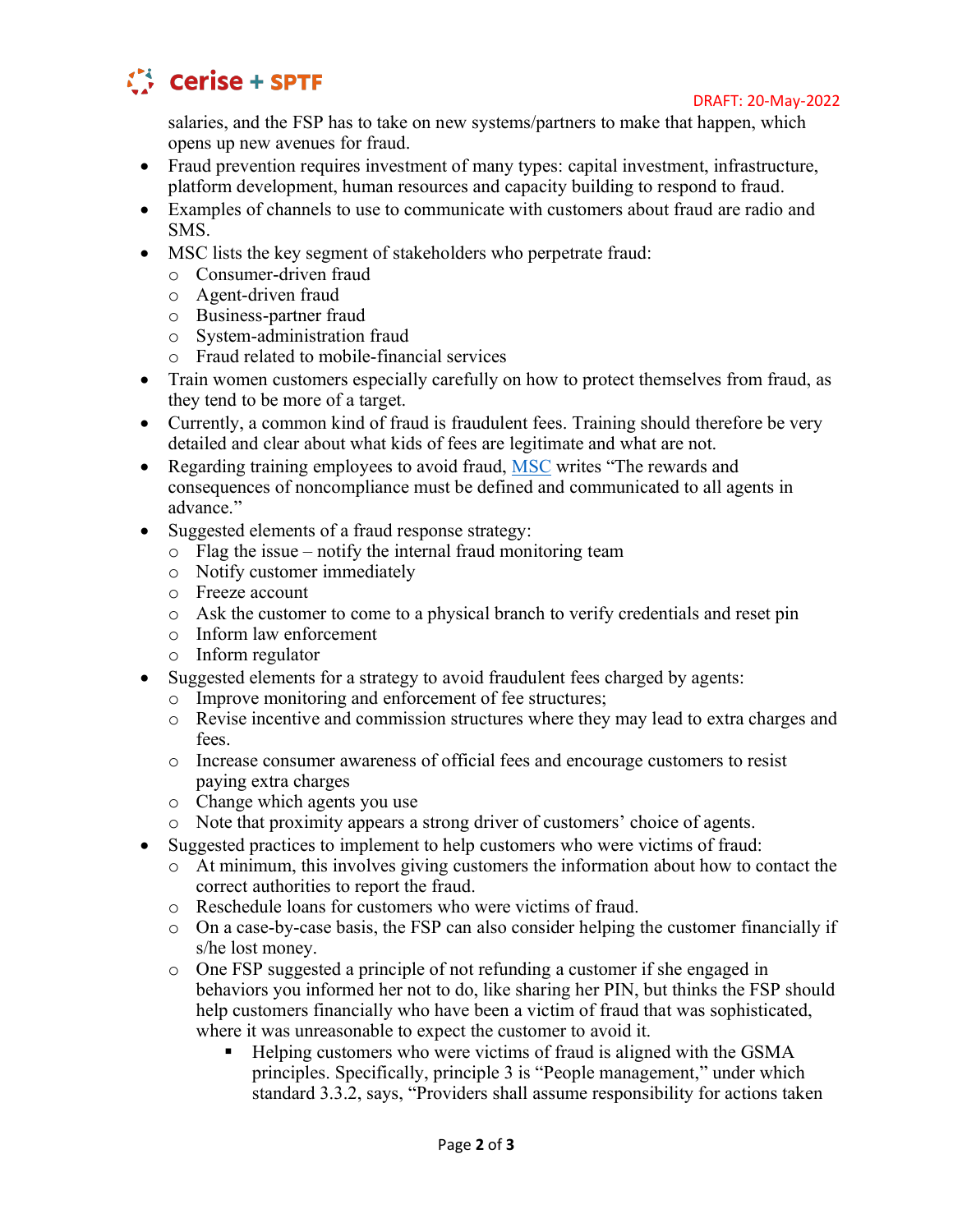

salaries, and the FSP has to take on new systems/partners to make that happen, which opens up new avenues for fraud.

- Fraud prevention requires investment of many types: capital investment, infrastructure, platform development, human resources and capacity building to respond to fraud.
- Examples of channels to use to communicate with customers about fraud are radio and SMS.
- MSC lists the key segment of stakeholders who perpetrate fraud:
	- o Consumer-driven fraud
	- o Agent-driven fraud
	- o Business-partner fraud
	- o System-administration fraud
	- o Fraud related to mobile-financial services
- Train women customers especially carefully on how to protect themselves from fraud, as they tend to be more of a target.
- Currently, a common kind of fraud is fraudulent fees. Training should therefore be very detailed and clear about what kids of fees are legitimate and what are not.
- Regarding training employees to avoid fraud, [MSC](https://www.microsave.net/files/pdf/RP151_Fraud_in_Mobile_Financial_Services_JMudiri.pdf) writes "The rewards and consequences of noncompliance must be defined and communicated to all agents in advance."
- Suggested elements of a fraud response strategy:
	- $\circ$  Flag the issue notify the internal fraud monitoring team
	- o Notify customer immediately
	- o Freeze account
	- o Ask the customer to come to a physical branch to verify credentials and reset pin
	- o Inform law enforcement
	- o Inform regulator
- Suggested elements for a strategy to avoid fraudulent fees charged by agents:
	- o Improve monitoring and enforcement of fee structures;
	- o Revise incentive and commission structures where they may lead to extra charges and fees.
	- o Increase consumer awareness of official fees and encourage customers to resist paying extra charges
	- o Change which agents you use
	- o Note that proximity appears a strong driver of customers' choice of agents.
- Suggested practices to implement to help customers who were victims of fraud:
	- o At minimum, this involves giving customers the information about how to contact the correct authorities to report the fraud.
	- o Reschedule loans for customers who were victims of fraud.
	- o On a case-by-case basis, the FSP can also consider helping the customer financially if s/he lost money.
	- o One FSP suggested a principle of not refunding a customer if she engaged in behaviors you informed her not to do, like sharing her PIN, but thinks the FSP should help customers financially who have been a victim of fraud that was sophisticated, where it was unreasonable to expect the customer to avoid it.
		- Helping customers who were victims of fraud is aligned with the GSMA principles. Specifically, principle 3 is "People management," under which standard 3.3.2, says, "Providers shall assume responsibility for actions taken